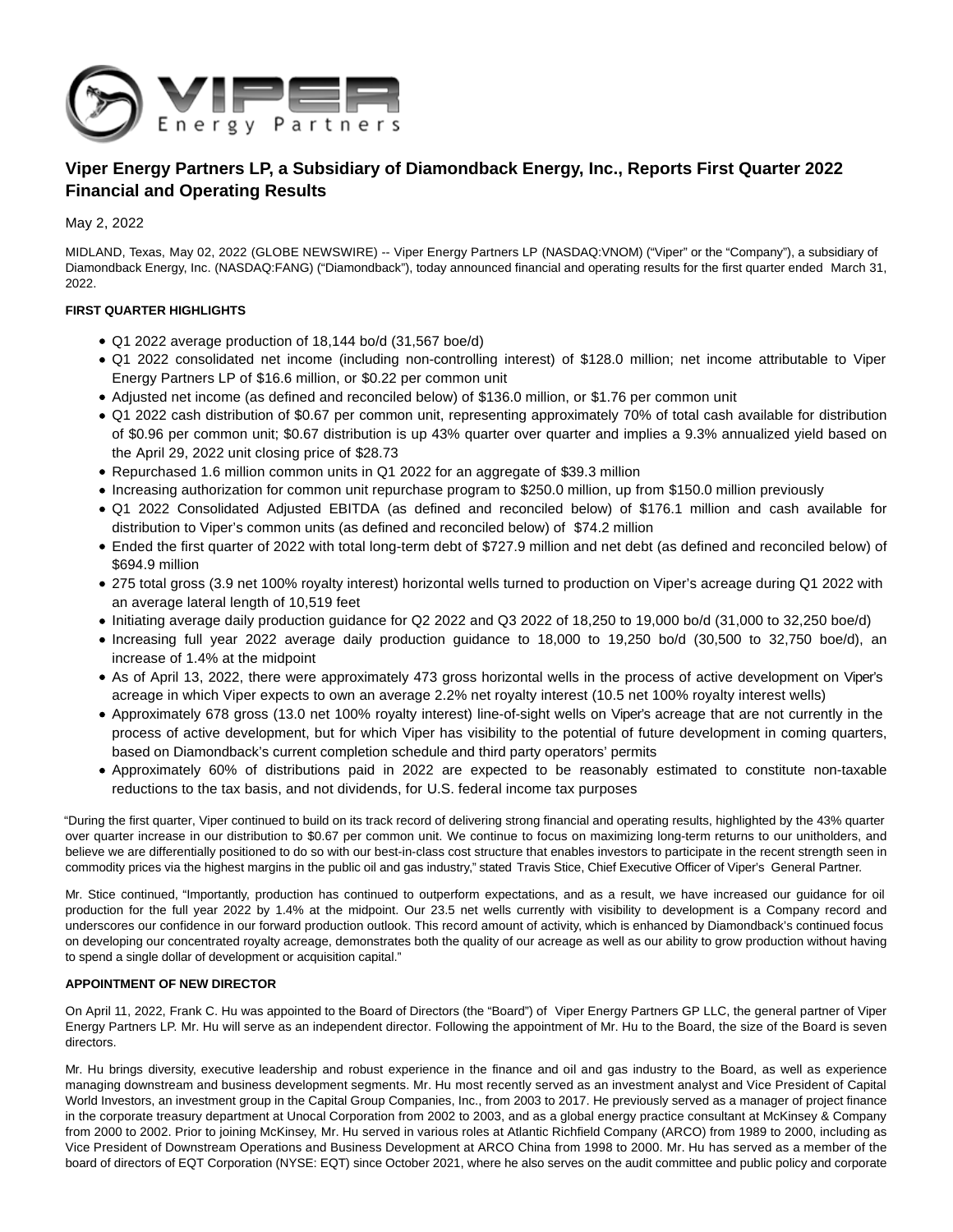

# **Viper Energy Partners LP, a Subsidiary of Diamondback Energy, Inc., Reports First Quarter 2022 Financial and Operating Results**

May 2, 2022

MIDLAND, Texas, May 02, 2022 (GLOBE NEWSWIRE) -- Viper Energy Partners LP (NASDAQ:VNOM) ("Viper" or the "Company"), a subsidiary of Diamondback Energy, Inc. (NASDAQ:FANG) ("Diamondback"), today announced financial and operating results for the first quarter ended March 31, 2022.

### **FIRST QUARTER HIGHLIGHTS**

- Q1 2022 average production of 18,144 bo/d (31,567 boe/d)
- Q1 2022 consolidated net income (including non-controlling interest) of \$128.0 million; net income attributable to Viper Energy Partners LP of \$16.6 million, or \$0.22 per common unit
- Adjusted net income (as defined and reconciled below) of \$136.0 million, or \$1.76 per common unit
- Q1 2022 cash distribution of \$0.67 per common unit, representing approximately 70% of total cash available for distribution of \$0.96 per common unit; \$0.67 distribution is up 43% quarter over quarter and implies a 9.3% annualized yield based on the April 29, 2022 unit closing price of \$28.73
- Repurchased 1.6 million common units in Q1 2022 for an aggregate of \$39.3 million
- Increasing authorization for common unit repurchase program to \$250.0 million, up from \$150.0 million previously
- Q1 2022 Consolidated Adjusted EBITDA (as defined and reconciled below) of \$176.1 million and cash available for distribution to Viper's common units (as defined and reconciled below) of \$74.2 million
- Ended the first quarter of 2022 with total long-term debt of \$727.9 million and net debt (as defined and reconciled below) of \$694.9 million
- 275 total gross (3.9 net 100% royalty interest) horizontal wells turned to production on Viper's acreage during Q1 2022 with an average lateral length of 10,519 feet
- Initiating average daily production guidance for Q2 2022 and Q3 2022 of 18,250 to 19,000 bo/d (31,000 to 32,250 boe/d)
- Increasing full year 2022 average daily production guidance to 18,000 to 19,250 bo/d (30,500 to 32,750 boe/d), an increase of 1.4% at the midpoint
- As of April 13, 2022, there were approximately 473 gross horizontal wells in the process of active development on Viper's acreage in which Viper expects to own an average 2.2% net royalty interest (10.5 net 100% royalty interest wells)
- Approximately 678 gross (13.0 net 100% royalty interest) line-of-sight wells on Viper's acreage that are not currently in the process of active development, but for which Viper has visibility to the potential of future development in coming quarters, based on Diamondback's current completion schedule and third party operators' permits
- Approximately 60% of distributions paid in 2022 are expected to be reasonably estimated to constitute non-taxable reductions to the tax basis, and not dividends, for U.S. federal income tax purposes

"During the first quarter, Viper continued to build on its track record of delivering strong financial and operating results, highlighted by the 43% quarter over quarter increase in our distribution to \$0.67 per common unit. We continue to focus on maximizing long-term returns to our unitholders, and believe we are differentially positioned to do so with our best-in-class cost structure that enables investors to participate in the recent strength seen in commodity prices via the highest margins in the public oil and gas industry," stated Travis Stice, Chief Executive Officer of Viper's General Partner.

Mr. Stice continued, "Importantly, production has continued to outperform expectations, and as a result, we have increased our guidance for oil production for the full year 2022 by 1.4% at the midpoint. Our 23.5 net wells currently with visibility to development is a Company record and underscores our confidence in our forward production outlook. This record amount of activity, which is enhanced by Diamondback's continued focus on developing our concentrated royalty acreage, demonstrates both the quality of our acreage as well as our ability to grow production without having to spend a single dollar of development or acquisition capital."

### **APPOINTMENT OF NEW DIRECTOR**

On April 11, 2022, Frank C. Hu was appointed to the Board of Directors (the "Board") of Viper Energy Partners GP LLC, the general partner of Viper Energy Partners LP. Mr. Hu will serve as an independent director. Following the appointment of Mr. Hu to the Board, the size of the Board is seven directors.

Mr. Hu brings diversity, executive leadership and robust experience in the finance and oil and gas industry to the Board, as well as experience managing downstream and business development segments. Mr. Hu most recently served as an investment analyst and Vice President of Capital World Investors, an investment group in the Capital Group Companies, Inc., from 2003 to 2017. He previously served as a manager of project finance in the corporate treasury department at Unocal Corporation from 2002 to 2003, and as a global energy practice consultant at McKinsey & Company from 2000 to 2002. Prior to joining McKinsey, Mr. Hu served in various roles at Atlantic Richfield Company (ARCO) from 1989 to 2000, including as Vice President of Downstream Operations and Business Development at ARCO China from 1998 to 2000. Mr. Hu has served as a member of the board of directors of EQT Corporation (NYSE: EQT) since October 2021, where he also serves on the audit committee and public policy and corporate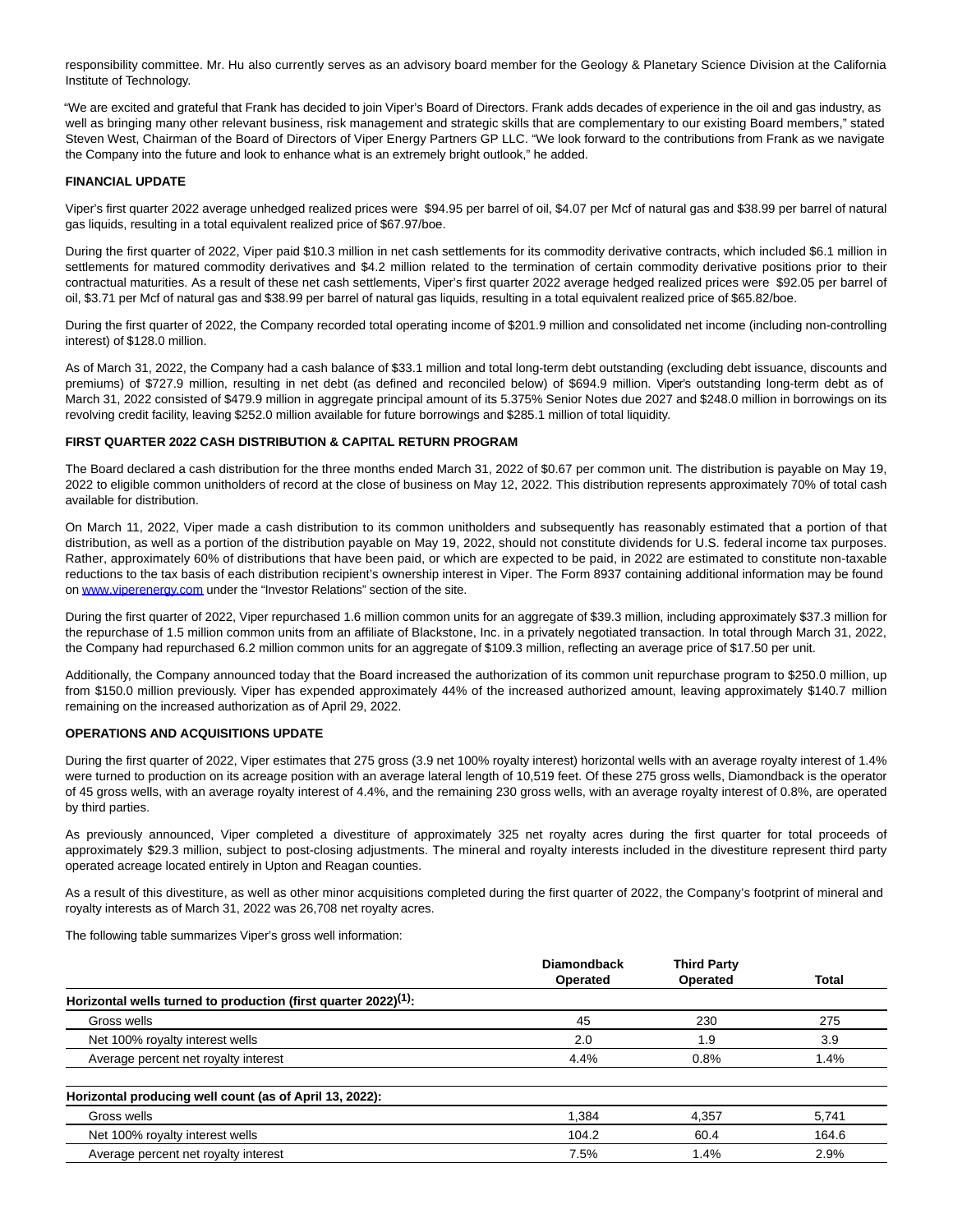responsibility committee. Mr. Hu also currently serves as an advisory board member for the Geology & Planetary Science Division at the California Institute of Technology.

"We are excited and grateful that Frank has decided to join Viper's Board of Directors. Frank adds decades of experience in the oil and gas industry, as well as bringing many other relevant business, risk management and strategic skills that are complementary to our existing Board members," stated Steven West, Chairman of the Board of Directors of Viper Energy Partners GP LLC. "We look forward to the contributions from Frank as we navigate the Company into the future and look to enhance what is an extremely bright outlook," he added.

### **FINANCIAL UPDATE**

Viper's first quarter 2022 average unhedged realized prices were \$94.95 per barrel of oil, \$4.07 per Mcf of natural gas and \$38.99 per barrel of natural gas liquids, resulting in a total equivalent realized price of \$67.97/boe.

During the first quarter of 2022, Viper paid \$10.3 million in net cash settlements for its commodity derivative contracts, which included \$6.1 million in settlements for matured commodity derivatives and \$4.2 million related to the termination of certain commodity derivative positions prior to their contractual maturities. As a result of these net cash settlements, Viper's first quarter 2022 average hedged realized prices were \$92.05 per barrel of oil, \$3.71 per Mcf of natural gas and \$38.99 per barrel of natural gas liquids, resulting in a total equivalent realized price of \$65.82/boe.

During the first quarter of 2022, the Company recorded total operating income of \$201.9 million and consolidated net income (including non-controlling interest) of \$128.0 million.

As of March 31, 2022, the Company had a cash balance of \$33.1 million and total long-term debt outstanding (excluding debt issuance, discounts and premiums) of \$727.9 million, resulting in net debt (as defined and reconciled below) of \$694.9 million. Viper's outstanding long-term debt as of March 31, 2022 consisted of \$479.9 million in aggregate principal amount of its 5.375% Senior Notes due 2027 and \$248.0 million in borrowings on its revolving credit facility, leaving \$252.0 million available for future borrowings and \$285.1 million of total liquidity.

#### **FIRST QUARTER 2022 CASH DISTRIBUTION & CAPITAL RETURN PROGRAM**

The Board declared a cash distribution for the three months ended March 31, 2022 of \$0.67 per common unit. The distribution is payable on May 19, 2022 to eligible common unitholders of record at the close of business on May 12, 2022. This distribution represents approximately 70% of total cash available for distribution.

On March 11, 2022, Viper made a cash distribution to its common unitholders and subsequently has reasonably estimated that a portion of that distribution, as well as a portion of the distribution payable on May 19, 2022, should not constitute dividends for U.S. federal income tax purposes. Rather, approximately 60% of distributions that have been paid, or which are expected to be paid, in 2022 are estimated to constitute non-taxable reductions to the tax basis of each distribution recipient's ownership interest in Viper. The Form 8937 containing additional information may be found on [www.viperenergy.com u](http://www.viperenergy.com/)nder the "Investor Relations" section of the site.

During the first quarter of 2022, Viper repurchased 1.6 million common units for an aggregate of \$39.3 million, including approximately \$37.3 million for the repurchase of 1.5 million common units from an affiliate of Blackstone, Inc. in a privately negotiated transaction. In total through March 31, 2022, the Company had repurchased 6.2 million common units for an aggregate of \$109.3 million, reflecting an average price of \$17.50 per unit.

Additionally, the Company announced today that the Board increased the authorization of its common unit repurchase program to \$250.0 million, up from \$150.0 million previously. Viper has expended approximately 44% of the increased authorized amount, leaving approximately \$140.7 million remaining on the increased authorization as of April 29, 2022.

#### **OPERATIONS AND ACQUISITIONS UPDATE**

During the first quarter of 2022, Viper estimates that 275 gross (3.9 net 100% royalty interest) horizontal wells with an average royalty interest of 1.4% were turned to production on its acreage position with an average lateral length of 10,519 feet. Of these 275 gross wells, Diamondback is the operator of 45 gross wells, with an average royalty interest of 4.4%, and the remaining 230 gross wells, with an average royalty interest of 0.8%, are operated by third parties.

As previously announced, Viper completed a divestiture of approximately 325 net royalty acres during the first quarter for total proceeds of approximately \$29.3 million, subject to post-closing adjustments. The mineral and royalty interests included in the divestiture represent third party operated acreage located entirely in Upton and Reagan counties.

As a result of this divestiture, as well as other minor acquisitions completed during the first quarter of 2022, the Company's footprint of mineral and royalty interests as of March 31, 2022 was 26,708 net royalty acres.

The following table summarizes Viper's gross well information:

|                                                                             | <b>Diamondback</b><br><b>Operated</b> | <b>Third Party</b><br>Operated | Total |
|-----------------------------------------------------------------------------|---------------------------------------|--------------------------------|-------|
| Horizontal wells turned to production (first quarter 2022) <sup>(1)</sup> : |                                       |                                |       |
| Gross wells                                                                 | 45                                    | 230                            | 275   |
| Net 100% royalty interest wells                                             | 2.0                                   | 1.9                            | 3.9   |
| Average percent net royalty interest                                        | 4.4%                                  | 0.8%                           | 1.4%  |

#### **Horizontal producing well count (as of April 13, 2022):**

| Gross wells                          | .384  | 4,357 | $ -$<br>'4.<br>ບ.ເ |
|--------------------------------------|-------|-------|--------------------|
| Net 100% royalty interest wells      | 104.2 | 60.4  | 164.6              |
| Average percent net royalty interest | 7.5%  | .4%   | 2.9%               |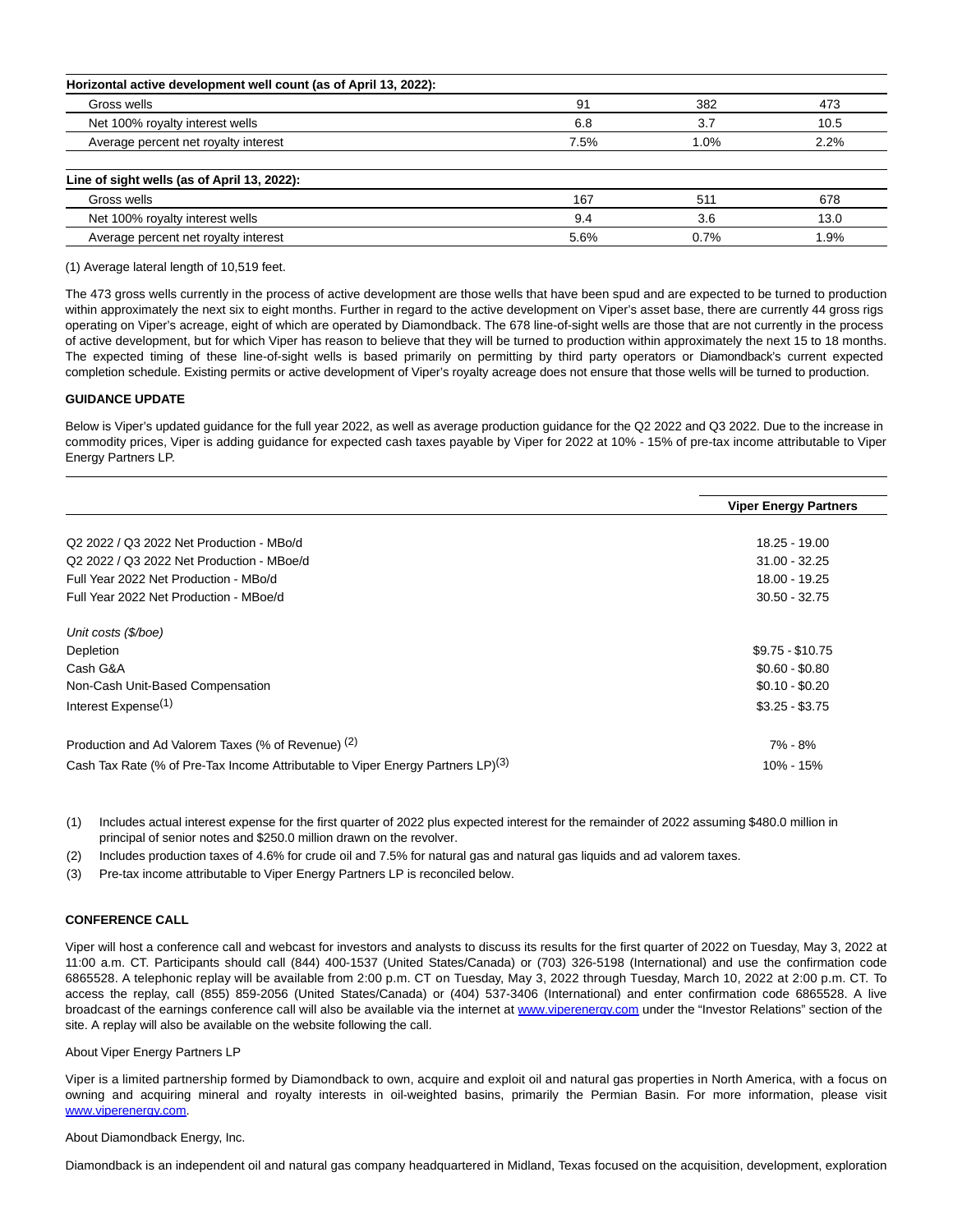| 91   | 382  | 473  |
|------|------|------|
| 6.8  | 3.7  | 10.5 |
| 7.5% | 1.0% | 2.2% |
|      |      |      |
| 167  | 511  | 678  |
| 9.4  | 3.6  | 13.0 |
| 5.6% | 0.7% | .9%  |
|      |      |      |

(1) Average lateral length of 10,519 feet.

The 473 gross wells currently in the process of active development are those wells that have been spud and are expected to be turned to production within approximately the next six to eight months. Further in regard to the active development on Viper's asset base, there are currently 44 gross rigs operating on Viper's acreage, eight of which are operated by Diamondback. The 678 line-of-sight wells are those that are not currently in the process of active development, but for which Viper has reason to believe that they will be turned to production within approximately the next 15 to 18 months. The expected timing of these line-of-sight wells is based primarily on permitting by third party operators or Diamondback's current expected completion schedule. Existing permits or active development of Viper's royalty acreage does not ensure that those wells will be turned to production.

#### **GUIDANCE UPDATE**

Below is Viper's updated guidance for the full year 2022, as well as average production guidance for the Q2 2022 and Q3 2022. Due to the increase in commodity prices, Viper is adding guidance for expected cash taxes payable by Viper for 2022 at 10% - 15% of pre-tax income attributable to Viper Energy Partners LP.

|                                                                                             | <b>Viper Energy Partners</b> |
|---------------------------------------------------------------------------------------------|------------------------------|
|                                                                                             |                              |
| Q2 2022 / Q3 2022 Net Production - MBo/d                                                    | 18.25 - 19.00                |
| Q2 2022 / Q3 2022 Net Production - MBoe/d                                                   | $31.00 - 32.25$              |
| Full Year 2022 Net Production - MBo/d                                                       | 18.00 - 19.25                |
| Full Year 2022 Net Production - MBoe/d                                                      | $30.50 - 32.75$              |
| Unit costs (\$/boe)                                                                         |                              |
| Depletion                                                                                   | $$9.75 - $10.75$             |
| Cash G&A                                                                                    | $$0.60 - $0.80$              |
| Non-Cash Unit-Based Compensation                                                            | $$0.10 - $0.20$              |
| Interest Expense <sup>(1)</sup>                                                             | $$3.25 - $3.75$              |
| Production and Ad Valorem Taxes (% of Revenue) (2)                                          | 7% - 8%                      |
| Cash Tax Rate (% of Pre-Tax Income Attributable to Viper Energy Partners LP) <sup>(3)</sup> | 10% - 15%                    |

(1) Includes actual interest expense for the first quarter of 2022 plus expected interest for the remainder of 2022 assuming \$480.0 million in principal of senior notes and \$250.0 million drawn on the revolver.

- (2) Includes production taxes of 4.6% for crude oil and 7.5% for natural gas and natural gas liquids and ad valorem taxes.
- (3) Pre-tax income attributable to Viper Energy Partners LP is reconciled below.

#### **CONFERENCE CALL**

Viper will host a conference call and webcast for investors and analysts to discuss its results for the first quarter of 2022 on Tuesday, May 3, 2022 at 11:00 a.m. CT. Participants should call (844) 400-1537 (United States/Canada) or (703) 326-5198 (International) and use the confirmation code 6865528. A telephonic replay will be available from 2:00 p.m. CT on Tuesday, May 3, 2022 through Tuesday, March 10, 2022 at 2:00 p.m. CT. To access the replay, call (855) 859-2056 (United States/Canada) or (404) 537-3406 (International) and enter confirmation code 6865528. A live broadcast of the earnings conference call will also be available via the internet at [www.viperenergy.com u](http://www.viperenergy.com/)nder the "Investor Relations" section of the site. A replay will also be available on the website following the call.

About Viper Energy Partners LP

Viper is a limited partnership formed by Diamondback to own, acquire and exploit oil and natural gas properties in North America, with a focus on owning and acquiring mineral and royalty interests in oil-weighted basins, primarily the Permian Basin. For more information, please visit [www.viperenergy.com.](http://www.viperenergy.com/)

About Diamondback Energy, Inc.

Diamondback is an independent oil and natural gas company headquartered in Midland, Texas focused on the acquisition, development, exploration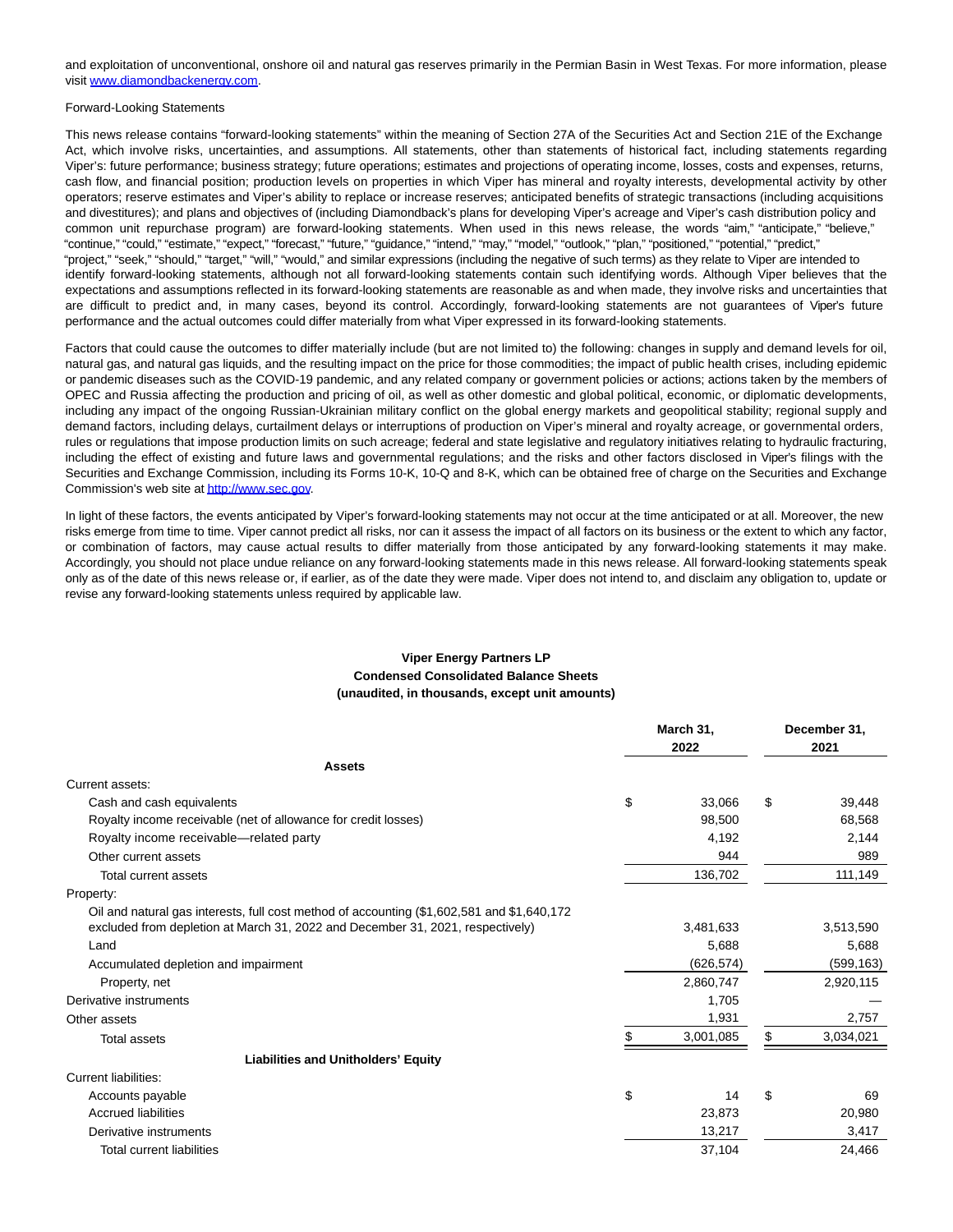and exploitation of unconventional, onshore oil and natural gas reserves primarily in the Permian Basin in West Texas. For more information, please visit [www.diamondbackenergy.com.](http://www.diamondbackenergy.com/)

#### Forward-Looking Statements

This news release contains "forward-looking statements" within the meaning of Section 27A of the Securities Act and Section 21E of the Exchange Act, which involve risks, uncertainties, and assumptions. All statements, other than statements of historical fact, including statements regarding Viper's: future performance; business strategy; future operations; estimates and projections of operating income, losses, costs and expenses, returns, cash flow, and financial position; production levels on properties in which Viper has mineral and royalty interests, developmental activity by other operators; reserve estimates and Viper's ability to replace or increase reserves; anticipated benefits of strategic transactions (including acquisitions and divestitures); and plans and objectives of (including Diamondback's plans for developing Viper's acreage and Viper's cash distribution policy and common unit repurchase program) are forward-looking statements. When used in this news release, the words "aim," "anticipate," "believe," "continue," "could," "estimate," "expect," "forecast," "future," "guidance," "intend," "may," "model," "outlook," "plan," "positioned," "potential," "predict," "project," "seek," "should," "target," "will," "would," and similar expressions (including the negative of such terms) as they relate to Viper are intended to identify forward-looking statements, although not all forward-looking statements contain such identifying words. Although Viper believes that the expectations and assumptions reflected in its forward-looking statements are reasonable as and when made, they involve risks and uncertainties that are difficult to predict and, in many cases, beyond its control. Accordingly, forward-looking statements are not guarantees of Viper's future performance and the actual outcomes could differ materially from what Viper expressed in its forward-looking statements.

Factors that could cause the outcomes to differ materially include (but are not limited to) the following: changes in supply and demand levels for oil, natural gas, and natural gas liquids, and the resulting impact on the price for those commodities; the impact of public health crises, including epidemic or pandemic diseases such as the COVID-19 pandemic, and any related company or government policies or actions; actions taken by the members of OPEC and Russia affecting the production and pricing of oil, as well as other domestic and global political, economic, or diplomatic developments, including any impact of the ongoing Russian-Ukrainian military conflict on the global energy markets and geopolitical stability; regional supply and demand factors, including delays, curtailment delays or interruptions of production on Viper's mineral and royalty acreage, or governmental orders, rules or regulations that impose production limits on such acreage; federal and state legislative and regulatory initiatives relating to hydraulic fracturing, including the effect of existing and future laws and governmental regulations; and the risks and other factors disclosed in Viper's filings with the Securities and Exchange Commission, including its Forms 10-K, 10-Q and 8-K, which can be obtained free of charge on the Securities and Exchange Commission's web site a[t http://www.sec.gov.](http://www.sec.gov/)

In light of these factors, the events anticipated by Viper's forward-looking statements may not occur at the time anticipated or at all. Moreover, the new risks emerge from time to time. Viper cannot predict all risks, nor can it assess the impact of all factors on its business or the extent to which any factor, or combination of factors, may cause actual results to differ materially from those anticipated by any forward-looking statements it may make. Accordingly, you should not place undue reliance on any forward-looking statements made in this news release. All forward-looking statements speak only as of the date of this news release or, if earlier, as of the date they were made. Viper does not intend to, and disclaim any obligation to, update or revise any forward-looking statements unless required by applicable law.

### **Viper Energy Partners LP Condensed Consolidated Balance Sheets (unaudited, in thousands, except unit amounts)**

|                                                                                                                                                                               | March 31,    | December 31. |            |  |
|-------------------------------------------------------------------------------------------------------------------------------------------------------------------------------|--------------|--------------|------------|--|
|                                                                                                                                                                               | 2022         |              | 2021       |  |
| <b>Assets</b>                                                                                                                                                                 |              |              |            |  |
| Current assets:                                                                                                                                                               |              |              |            |  |
| Cash and cash equivalents                                                                                                                                                     | \$<br>33,066 | \$           | 39,448     |  |
| Royalty income receivable (net of allowance for credit losses)                                                                                                                | 98.500       |              | 68,568     |  |
| Royalty income receivable—related party                                                                                                                                       | 4,192        |              | 2,144      |  |
| Other current assets                                                                                                                                                          | 944          |              | 989        |  |
| Total current assets                                                                                                                                                          | 136,702      |              | 111,149    |  |
| Property:                                                                                                                                                                     |              |              |            |  |
| Oil and natural gas interests, full cost method of accounting (\$1,602,581 and \$1,640,172)<br>excluded from depletion at March 31, 2022 and December 31, 2021, respectively) | 3,481,633    |              | 3,513,590  |  |
| Land                                                                                                                                                                          | 5,688        |              | 5,688      |  |
| Accumulated depletion and impairment                                                                                                                                          | (626, 574)   |              | (599, 163) |  |
| Property, net                                                                                                                                                                 | 2,860,747    |              | 2,920,115  |  |
| Derivative instruments                                                                                                                                                        | 1,705        |              |            |  |
|                                                                                                                                                                               | 1,931        |              |            |  |
| Other assets                                                                                                                                                                  |              |              | 2,757      |  |
| <b>Total assets</b>                                                                                                                                                           | 3,001,085    | \$           | 3,034,021  |  |
| <b>Liabilities and Unitholders' Equity</b>                                                                                                                                    |              |              |            |  |
| Current liabilities:                                                                                                                                                          |              |              |            |  |
| Accounts payable                                                                                                                                                              | \$<br>14     | \$           | 69         |  |
| <b>Accrued liabilities</b>                                                                                                                                                    | 23,873       |              | 20,980     |  |
| Derivative instruments                                                                                                                                                        | 13,217       |              | 3,417      |  |
| <b>Total current liabilities</b>                                                                                                                                              | 37,104       |              | 24,466     |  |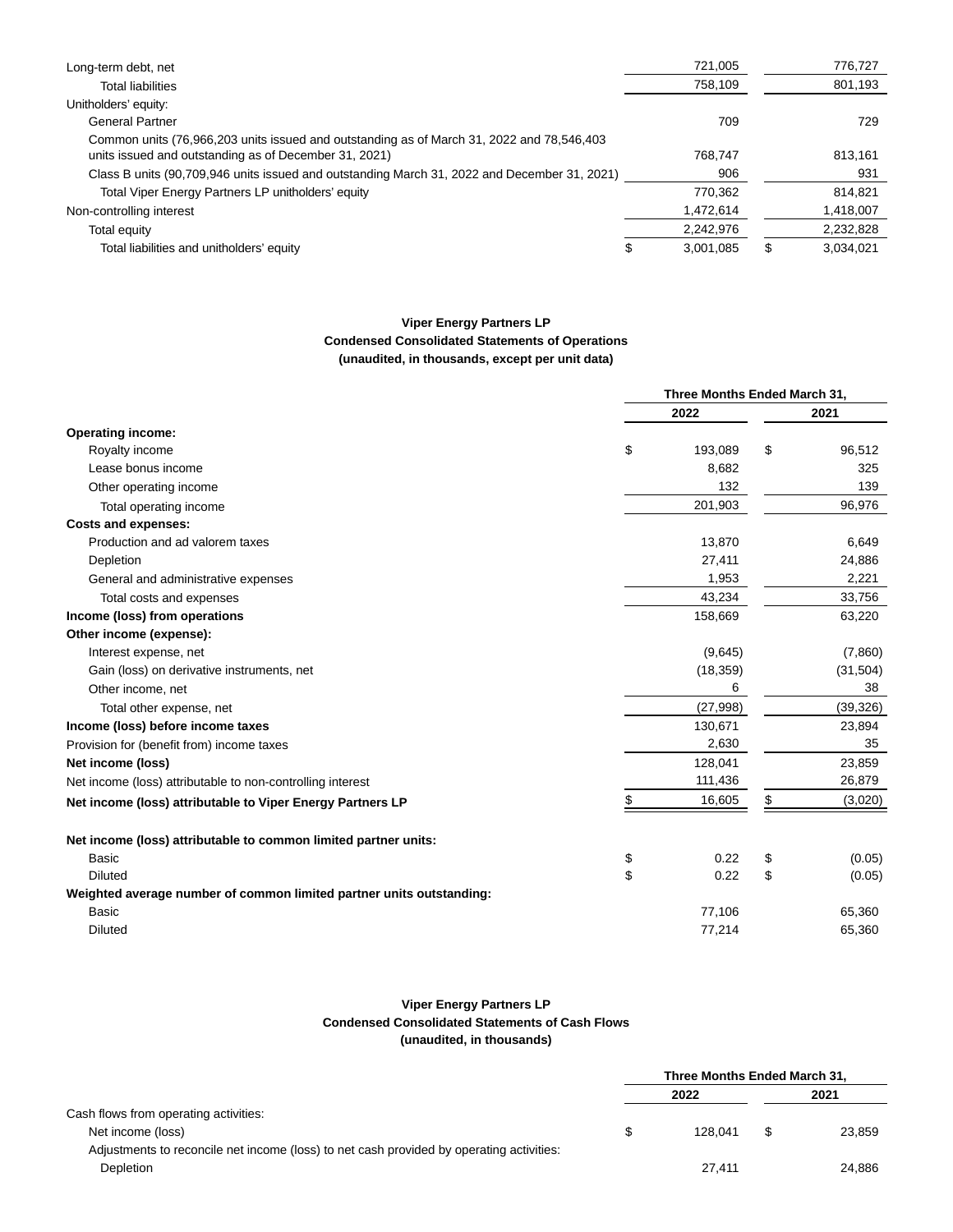| Long-term debt, net                                                                                                                                | 721,005   | 776,727         |
|----------------------------------------------------------------------------------------------------------------------------------------------------|-----------|-----------------|
| Total liabilities                                                                                                                                  | 758,109   | 801,193         |
| Unitholders' equity:                                                                                                                               |           |                 |
| <b>General Partner</b>                                                                                                                             | 709       | 729             |
| Common units (76,966,203 units issued and outstanding as of March 31, 2022 and 78,546,403<br>units issued and outstanding as of December 31, 2021) | 768.747   | 813,161         |
| Class B units (90,709,946 units issued and outstanding March 31, 2022 and December 31, 2021)                                                       | 906       | 931             |
| Total Viper Energy Partners LP unitholders' equity                                                                                                 | 770.362   | 814,821         |
| Non-controlling interest                                                                                                                           | 1,472,614 | 1,418,007       |
| Total equity                                                                                                                                       | 2,242,976 | 2,232,828       |
| Total liabilities and unitholders' equity                                                                                                          | 3,001,085 | \$<br>3.034.021 |

# **Viper Energy Partners LP Condensed Consolidated Statements of Operations (unaudited, in thousands, except per unit data)**

|                                                                      | Three Months Ended March 31, |           |    |           |  |
|----------------------------------------------------------------------|------------------------------|-----------|----|-----------|--|
|                                                                      |                              | 2022      |    | 2021      |  |
| <b>Operating income:</b>                                             |                              |           |    |           |  |
| Royalty income                                                       | \$                           | 193,089   | \$ | 96,512    |  |
| Lease bonus income                                                   |                              | 8,682     |    | 325       |  |
| Other operating income                                               |                              | 132       |    | 139       |  |
| Total operating income                                               |                              | 201,903   |    | 96,976    |  |
| <b>Costs and expenses:</b>                                           |                              |           |    |           |  |
| Production and ad valorem taxes                                      |                              | 13,870    |    | 6,649     |  |
| Depletion                                                            |                              | 27,411    |    | 24,886    |  |
| General and administrative expenses                                  |                              | 1,953     |    | 2,221     |  |
| Total costs and expenses                                             |                              | 43,234    |    | 33,756    |  |
| Income (loss) from operations                                        |                              | 158,669   |    | 63,220    |  |
| Other income (expense):                                              |                              |           |    |           |  |
| Interest expense, net                                                |                              | (9,645)   |    | (7,860)   |  |
| Gain (loss) on derivative instruments, net                           |                              | (18, 359) |    | (31, 504) |  |
| Other income, net                                                    |                              | 6         |    | 38        |  |
| Total other expense, net                                             |                              | (27, 998) |    | (39, 326) |  |
| Income (loss) before income taxes                                    |                              | 130,671   |    | 23,894    |  |
| Provision for (benefit from) income taxes                            |                              | 2,630     |    | 35        |  |
| Net income (loss)                                                    |                              | 128,041   |    | 23,859    |  |
| Net income (loss) attributable to non-controlling interest           |                              | 111,436   |    | 26,879    |  |
| Net income (loss) attributable to Viper Energy Partners LP           | \$                           | 16,605    | \$ | (3,020)   |  |
| Net income (loss) attributable to common limited partner units:      |                              |           |    |           |  |
| Basic                                                                | \$                           | 0.22      | \$ | (0.05)    |  |
| <b>Diluted</b>                                                       | \$                           | 0.22      | \$ | (0.05)    |  |
| Weighted average number of common limited partner units outstanding: |                              |           |    |           |  |
| <b>Basic</b>                                                         |                              | 77,106    |    | 65,360    |  |
| <b>Diluted</b>                                                       |                              | 77,214    |    | 65,360    |  |
|                                                                      |                              |           |    |           |  |

# **Viper Energy Partners LP Condensed Consolidated Statements of Cash Flows (unaudited, in thousands)**

|                                                                                          |      | Three Months Ended March 31, |    |        |  |
|------------------------------------------------------------------------------------------|------|------------------------------|----|--------|--|
|                                                                                          | 2022 |                              |    | 2021   |  |
| Cash flows from operating activities:                                                    |      |                              |    |        |  |
| Net income (loss)                                                                        | S    | 128.041                      | \$ | 23.859 |  |
| Adjustments to reconcile net income (loss) to net cash provided by operating activities: |      |                              |    |        |  |
| <b>Depletion</b>                                                                         |      | 27.411                       |    | 24.886 |  |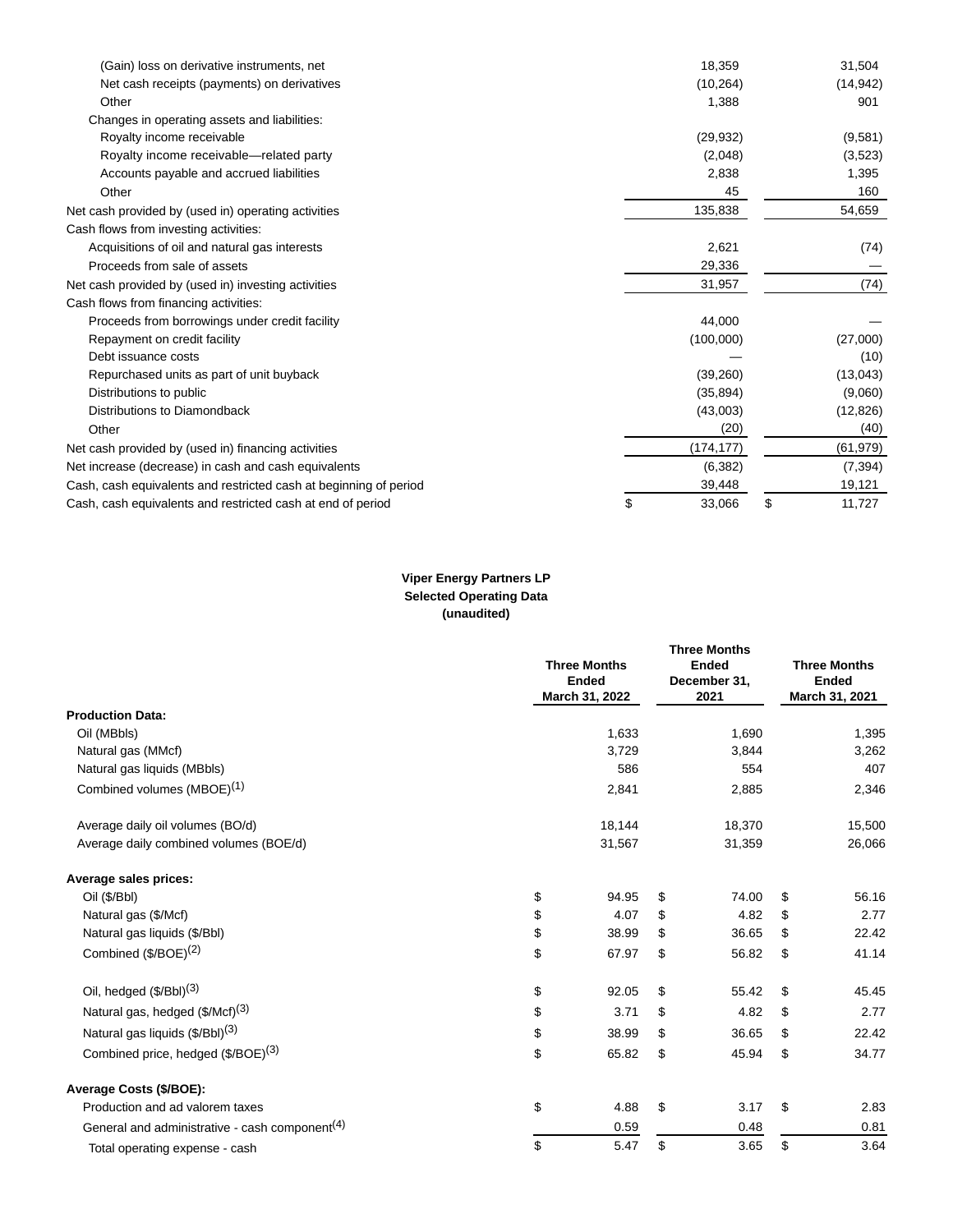| (Gain) loss on derivative instruments, net                        | 18,359       | 31,504       |
|-------------------------------------------------------------------|--------------|--------------|
| Net cash receipts (payments) on derivatives                       | (10, 264)    | (14, 942)    |
| Other                                                             | 1,388        | 901          |
| Changes in operating assets and liabilities:                      |              |              |
| Royalty income receivable                                         | (29, 932)    | (9,581)      |
| Royalty income receivable—related party                           | (2,048)      | (3,523)      |
| Accounts payable and accrued liabilities                          | 2,838        | 1,395        |
| Other                                                             | 45           | 160          |
| Net cash provided by (used in) operating activities               | 135,838      | 54,659       |
| Cash flows from investing activities:                             |              |              |
| Acquisitions of oil and natural gas interests                     | 2,621        | (74)         |
| Proceeds from sale of assets                                      | 29,336       |              |
| Net cash provided by (used in) investing activities               | 31,957       | (74)         |
| Cash flows from financing activities:                             |              |              |
| Proceeds from borrowings under credit facility                    | 44.000       |              |
| Repayment on credit facility                                      | (100,000)    | (27,000)     |
| Debt issuance costs                                               |              | (10)         |
| Repurchased units as part of unit buyback                         | (39,260)     | (13, 043)    |
| Distributions to public                                           | (35, 894)    | (9,060)      |
| Distributions to Diamondback                                      | (43,003)     | (12, 826)    |
| Other                                                             | (20)         | (40)         |
| Net cash provided by (used in) financing activities               | (174, 177)   | (61, 979)    |
| Net increase (decrease) in cash and cash equivalents              | (6, 382)     | (7, 394)     |
| Cash, cash equivalents and restricted cash at beginning of period | 39,448       | 19,121       |
| Cash, cash equivalents and restricted cash at end of period       | \$<br>33.066 | \$<br>11.727 |

# **Viper Energy Partners LP Selected Operating Data (unaudited)**

|                                                            | <b>Three Months</b><br>Ended<br>March 31, 2022 | <b>Three Months</b><br><b>Ended</b><br>December 31,<br>2021 | <b>Three Months</b><br><b>Ended</b><br>March 31, 2021 |
|------------------------------------------------------------|------------------------------------------------|-------------------------------------------------------------|-------------------------------------------------------|
| <b>Production Data:</b>                                    |                                                |                                                             |                                                       |
| Oil (MBbls)                                                | 1,633                                          | 1,690                                                       | 1,395                                                 |
| Natural gas (MMcf)                                         | 3,729                                          | 3,844                                                       | 3,262                                                 |
| Natural gas liquids (MBbls)                                | 586                                            | 554                                                         | 407                                                   |
| Combined volumes (MBOE) <sup>(1)</sup>                     | 2,841                                          | 2,885                                                       | 2,346                                                 |
| Average daily oil volumes (BO/d)                           | 18,144                                         | 18,370                                                      | 15,500                                                |
| Average daily combined volumes (BOE/d)                     | 31,567                                         | 31,359                                                      | 26,066                                                |
| Average sales prices:                                      |                                                |                                                             |                                                       |
| Oil (\$/Bbl)                                               | \$<br>94.95                                    | \$<br>74.00                                                 | \$<br>56.16                                           |
| Natural gas (\$/Mcf)                                       | \$<br>4.07                                     | \$<br>4.82                                                  | \$<br>2.77                                            |
| Natural gas liquids (\$/Bbl)                               | \$<br>38.99                                    | \$<br>36.65                                                 | \$<br>22.42                                           |
| Combined $($/BOE)^{(2)}$                                   | \$<br>67.97                                    | \$<br>56.82                                                 | \$<br>41.14                                           |
| Oil, hedged (\$/Bbl) <sup>(3)</sup>                        | \$<br>92.05                                    | \$<br>55.42                                                 | \$<br>45.45                                           |
| Natural gas, hedged (\$/Mcf) <sup>(3)</sup>                | \$<br>3.71                                     | \$<br>4.82                                                  | \$<br>2.77                                            |
| Natural gas liquids (\$/Bbl) <sup>(3)</sup>                | \$<br>38.99                                    | \$<br>36.65                                                 | \$<br>22.42                                           |
| Combined price, hedged (\$/BOE) <sup>(3)</sup>             | \$<br>65.82                                    | \$<br>45.94                                                 | \$<br>34.77                                           |
| Average Costs (\$/BOE):                                    |                                                |                                                             |                                                       |
| Production and ad valorem taxes                            | \$<br>4.88                                     | \$<br>3.17                                                  | \$<br>2.83                                            |
| General and administrative - cash component <sup>(4)</sup> | 0.59                                           | 0.48                                                        | 0.81                                                  |
| Total operating expense - cash                             | \$<br>5.47                                     | \$<br>3.65                                                  | \$<br>3.64                                            |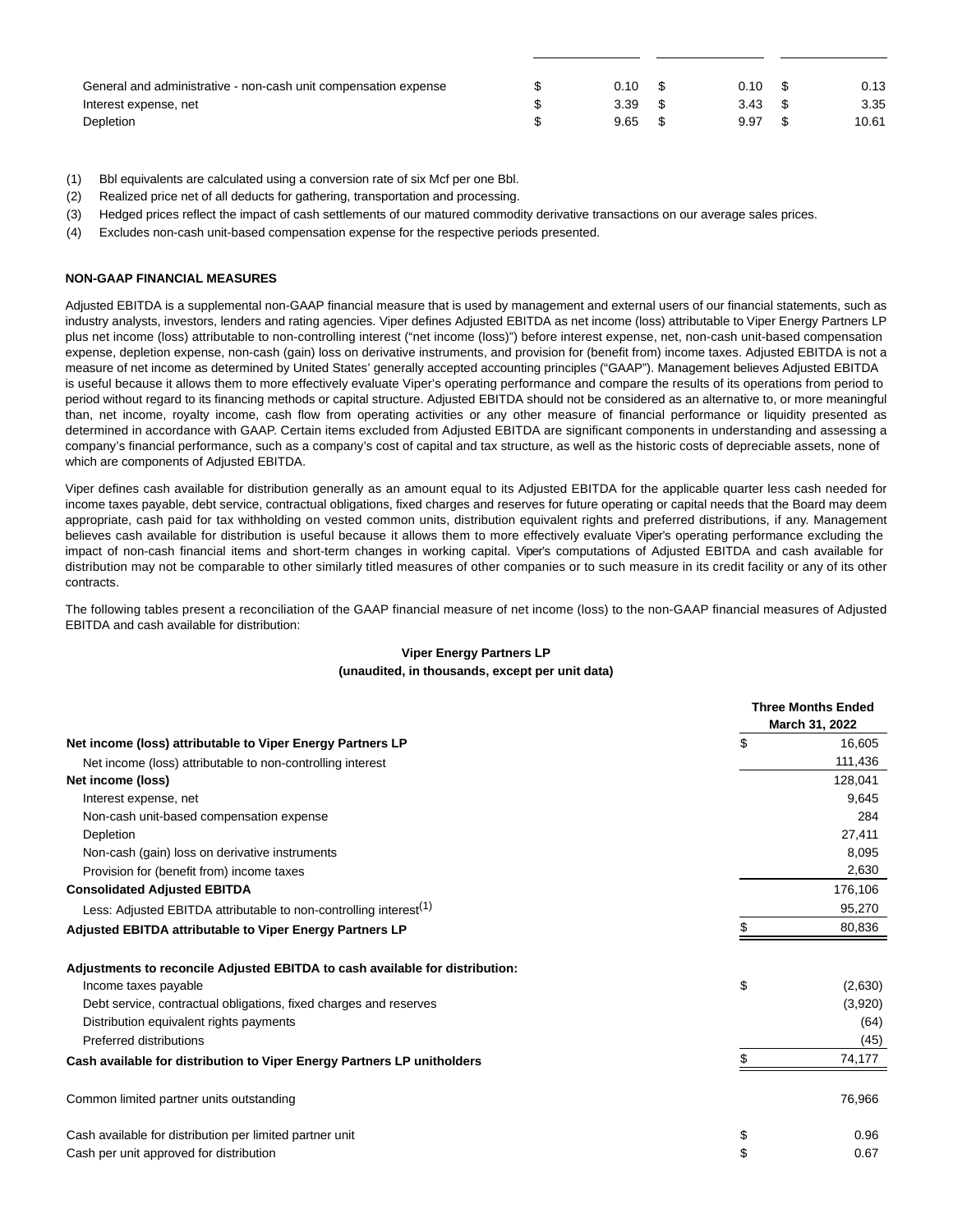| General and administrative - non-cash unit compensation expense | $0.10 \,$ \$ | 0.10      | - 56 | 0.13  |
|-----------------------------------------------------------------|--------------|-----------|------|-------|
| Interest expense, net                                           | 3.39         | $3.43$ \$ |      | 3.35  |
| Depletion                                                       | $9.65$ \$    | 9.97      |      | 10.61 |

- (1) Bbl equivalents are calculated using a conversion rate of six Mcf per one Bbl.
- (2) Realized price net of all deducts for gathering, transportation and processing.
- (3) Hedged prices reflect the impact of cash settlements of our matured commodity derivative transactions on our average sales prices.
- (4) Excludes non-cash unit-based compensation expense for the respective periods presented.

#### **NON-GAAP FINANCIAL MEASURES**

Adjusted EBITDA is a supplemental non-GAAP financial measure that is used by management and external users of our financial statements, such as industry analysts, investors, lenders and rating agencies. Viper defines Adjusted EBITDA as net income (loss) attributable to Viper Energy Partners LP plus net income (loss) attributable to non-controlling interest ("net income (loss)") before interest expense, net, non-cash unit-based compensation expense, depletion expense, non-cash (gain) loss on derivative instruments, and provision for (benefit from) income taxes. Adjusted EBITDA is not a measure of net income as determined by United States' generally accepted accounting principles ("GAAP"). Management believes Adjusted EBITDA is useful because it allows them to more effectively evaluate Viper's operating performance and compare the results of its operations from period to period without regard to its financing methods or capital structure. Adjusted EBITDA should not be considered as an alternative to, or more meaningful than, net income, royalty income, cash flow from operating activities or any other measure of financial performance or liquidity presented as determined in accordance with GAAP. Certain items excluded from Adjusted EBITDA are significant components in understanding and assessing a company's financial performance, such as a company's cost of capital and tax structure, as well as the historic costs of depreciable assets, none of which are components of Adjusted EBITDA.

Viper defines cash available for distribution generally as an amount equal to its Adjusted EBITDA for the applicable quarter less cash needed for income taxes payable, debt service, contractual obligations, fixed charges and reserves for future operating or capital needs that the Board may deem appropriate, cash paid for tax withholding on vested common units, distribution equivalent rights and preferred distributions, if any. Management believes cash available for distribution is useful because it allows them to more effectively evaluate Viper's operating performance excluding the impact of non-cash financial items and short-term changes in working capital. Viper's computations of Adjusted EBITDA and cash available for distribution may not be comparable to other similarly titled measures of other companies or to such measure in its credit facility or any of its other contracts.

The following tables present a reconciliation of the GAAP financial measure of net income (loss) to the non-GAAP financial measures of Adjusted EBITDA and cash available for distribution:

|                                                                               | <b>Three Months Ended</b><br>March 31, 2022 |
|-------------------------------------------------------------------------------|---------------------------------------------|
| Net income (loss) attributable to Viper Energy Partners LP                    | \$<br>16,605                                |
| Net income (loss) attributable to non-controlling interest                    | 111,436                                     |
| Net income (loss)                                                             | 128,041                                     |
| Interest expense, net                                                         | 9,645                                       |
| Non-cash unit-based compensation expense                                      | 284                                         |
| Depletion                                                                     | 27,411                                      |
| Non-cash (gain) loss on derivative instruments                                | 8,095                                       |
| Provision for (benefit from) income taxes                                     | 2,630                                       |
| <b>Consolidated Adjusted EBITDA</b>                                           | 176,106                                     |
| Less: Adjusted EBITDA attributable to non-controlling interest <sup>(1)</sup> | 95,270                                      |
| Adjusted EBITDA attributable to Viper Energy Partners LP                      | 80,836                                      |
| Adjustments to reconcile Adjusted EBITDA to cash available for distribution:  |                                             |
| Income taxes payable                                                          | \$<br>(2,630)                               |
| Debt service, contractual obligations, fixed charges and reserves             | (3,920)                                     |
| Distribution equivalent rights payments                                       | (64)                                        |
| Preferred distributions                                                       | (45)                                        |
| Cash available for distribution to Viper Energy Partners LP unitholders       | 74,177                                      |
| Common limited partner units outstanding                                      | 76,966                                      |
| Cash available for distribution per limited partner unit                      | \$<br>0.96                                  |
| Cash per unit approved for distribution                                       | \$<br>0.67                                  |

### **Viper Energy Partners LP (unaudited, in thousands, except per unit data)**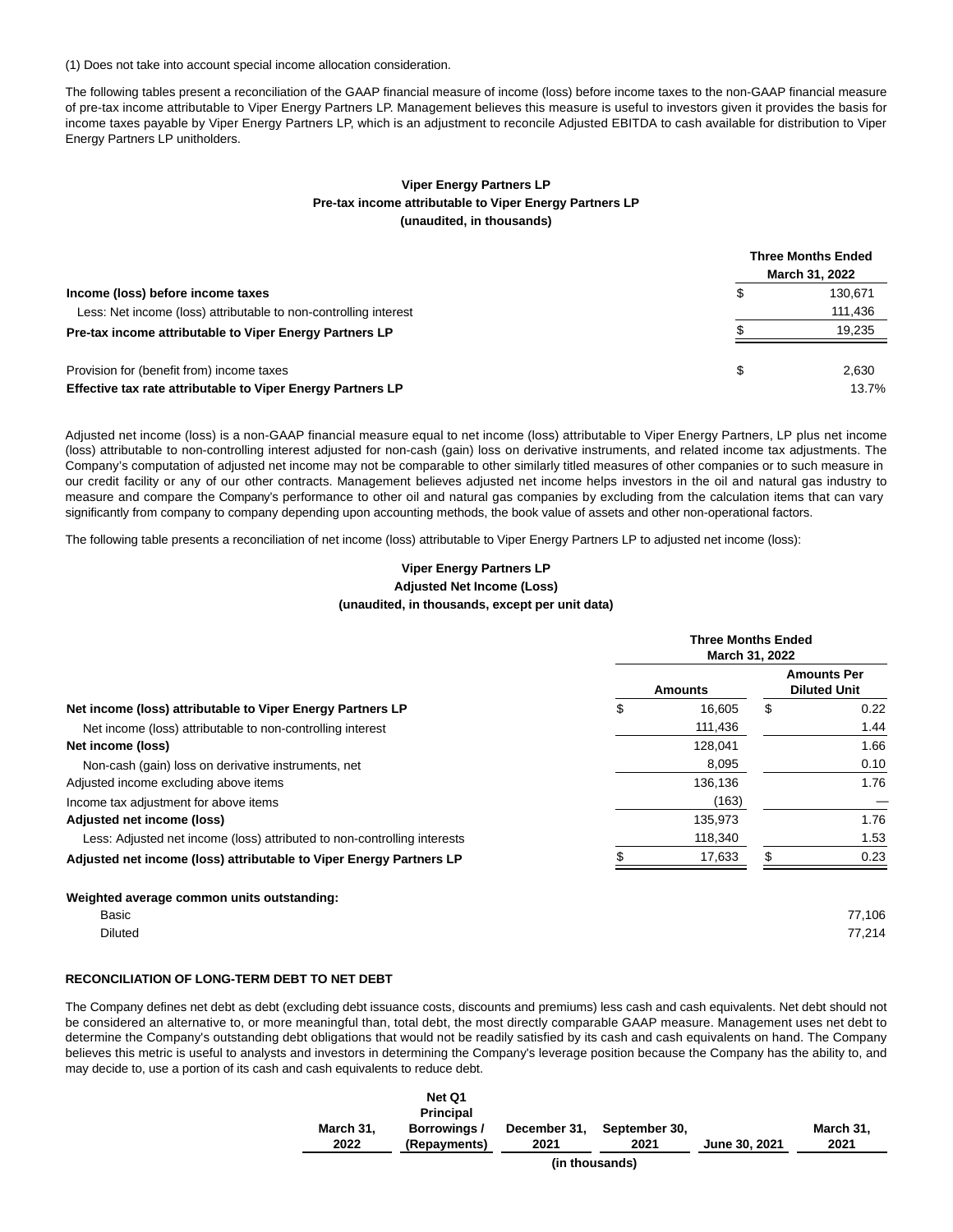(1) Does not take into account special income allocation consideration.

The following tables present a reconciliation of the GAAP financial measure of income (loss) before income taxes to the non-GAAP financial measure of pre-tax income attributable to Viper Energy Partners LP. Management believes this measure is useful to investors given it provides the basis for income taxes payable by Viper Energy Partners LP, which is an adjustment to reconcile Adjusted EBITDA to cash available for distribution to Viper Energy Partners LP unitholders.

### **Viper Energy Partners LP Pre-tax income attributable to Viper Energy Partners LP (unaudited, in thousands)**

|                                                                  | <b>Three Months Ended</b><br>March 31, 2022 |
|------------------------------------------------------------------|---------------------------------------------|
| Income (loss) before income taxes                                | 130.671                                     |
| Less: Net income (loss) attributable to non-controlling interest | 111,436                                     |
| Pre-tax income attributable to Viper Energy Partners LP          | 19,235                                      |
| Provision for (benefit from) income taxes                        | 2.630                                       |
| Effective tax rate attributable to Viper Energy Partners LP      | 13.7%                                       |

Adjusted net income (loss) is a non-GAAP financial measure equal to net income (loss) attributable to Viper Energy Partners, LP plus net income (loss) attributable to non-controlling interest adjusted for non-cash (gain) loss on derivative instruments, and related income tax adjustments. The Company's computation of adjusted net income may not be comparable to other similarly titled measures of other companies or to such measure in our credit facility or any of our other contracts. Management believes adjusted net income helps investors in the oil and natural gas industry to measure and compare the Company's performance to other oil and natural gas companies by excluding from the calculation items that can vary significantly from company to company depending upon accounting methods, the book value of assets and other non-operational factors.

The following table presents a reconciliation of net income (loss) attributable to Viper Energy Partners LP to adjusted net income (loss):

### **Viper Energy Partners LP Adjusted Net Income (Loss) (unaudited, in thousands, except per unit data)**

|                                                                          | <b>Three Months Ended</b><br>March 31, 2022 |                |     |                                           |  |
|--------------------------------------------------------------------------|---------------------------------------------|----------------|-----|-------------------------------------------|--|
|                                                                          |                                             | <b>Amounts</b> |     | <b>Amounts Per</b><br><b>Diluted Unit</b> |  |
| Net income (loss) attributable to Viper Energy Partners LP               | \$                                          | 16,605         | \$  | 0.22                                      |  |
| Net income (loss) attributable to non-controlling interest               |                                             | 111,436        |     | 1.44                                      |  |
| Net income (loss)                                                        |                                             | 128.041        |     | 1.66                                      |  |
| Non-cash (gain) loss on derivative instruments, net                      |                                             | 8,095          |     | 0.10                                      |  |
| Adjusted income excluding above items                                    |                                             | 136,136        |     | 1.76                                      |  |
| Income tax adjustment for above items                                    |                                             | (163)          |     |                                           |  |
| Adjusted net income (loss)                                               |                                             | 135,973        |     | 1.76                                      |  |
| Less: Adjusted net income (loss) attributed to non-controlling interests |                                             | 118,340        |     | 1.53                                      |  |
| Adjusted net income (loss) attributable to Viper Energy Partners LP      |                                             | 17,633         | \$. | 0.23                                      |  |
| Weighted average common units outstanding:                               |                                             |                |     |                                           |  |
| Basic                                                                    |                                             |                |     | 77,106                                    |  |
| <b>Diluted</b>                                                           |                                             |                |     | 77,214                                    |  |

### **RECONCILIATION OF LONG-TERM DEBT TO NET DEBT**

The Company defines net debt as debt (excluding debt issuance costs, discounts and premiums) less cash and cash equivalents. Net debt should not be considered an alternative to, or more meaningful than, total debt, the most directly comparable GAAP measure. Management uses net debt to determine the Company's outstanding debt obligations that would not be readily satisfied by its cash and cash equivalents on hand. The Company believes this metric is useful to analysts and investors in determining the Company's leverage position because the Company has the ability to, and may decide to, use a portion of its cash and cash equivalents to reduce debt.

|                | Net Q1<br><b>Principal</b> |              |               |               |           |  |  |  |
|----------------|----------------------------|--------------|---------------|---------------|-----------|--|--|--|
| March 31,      | Borrowings /               | December 31, | September 30. |               | March 31, |  |  |  |
| 2022           | (Repayments)               | 2021         | 2021          | June 30, 2021 | 2021      |  |  |  |
| (in thousands) |                            |              |               |               |           |  |  |  |